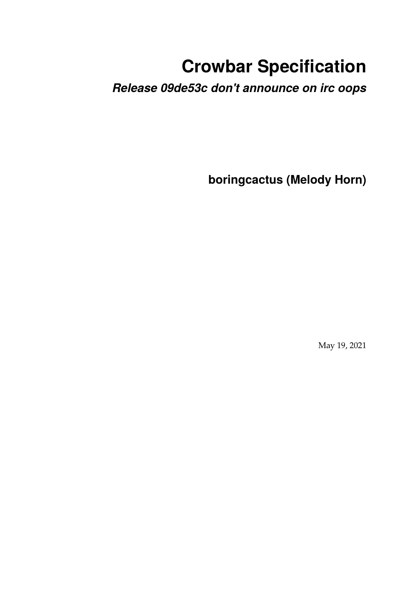# **Crowbar Specification**

*Release 09de53c don't announce on irc oops*

**boringcactus (Melody Horn)**

May 19, 2021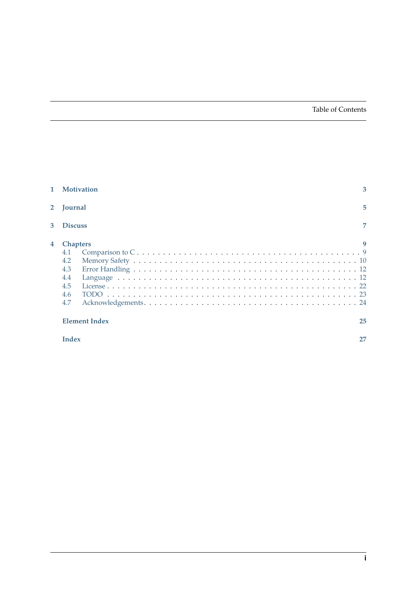#### Table of Contents

| 1            | <b>Motivation</b>                                                | 3  |
|--------------|------------------------------------------------------------------|----|
| $\mathbf{2}$ | <b>Tournal</b>                                                   | 5  |
| 3            | <b>Discuss</b>                                                   | 7  |
| 4            | <b>Chapters</b><br>4.1<br>4.2<br>4.3<br>4.4<br>4.5<br>4.6<br>4.7 |    |
|              | <b>Element Index</b>                                             | 25 |
|              | <b>Index</b>                                                     | 27 |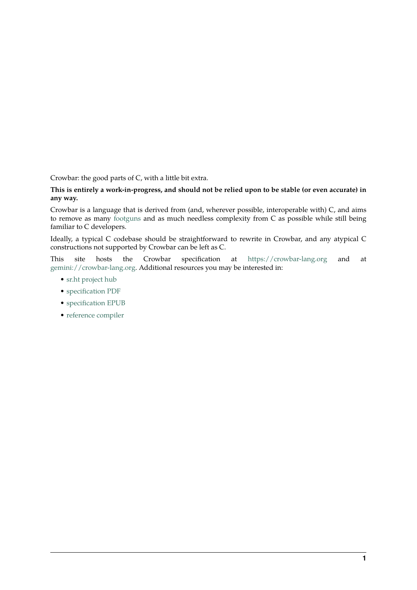Crowbar: the good parts of C, with a little bit extra.

#### **This is entirely a work-in-progress, and should not be relied upon to be stable (or even accurate) in any way.**

Crowbar is a language that is derived from (and, wherever possible, interoperable with) C, and aims to remove as many [footguns](https://en.wiktionary.org/wiki/footgun) and as much needless complexity from C as possible while still being familiar to C developers.

Ideally, a typical C codebase should be straightforward to rewrite in Crowbar, and any atypical C constructions not supported by Crowbar can be left as C.

This site hosts the Crowbar specification at <https://crowbar-lang.org> and at <gemini://crowbar-lang.org>. Additional resources you may be interested in:

- [sr.ht project hub](https://sr.ht/~boringcactus/crowbar-lang/)
- [specification PDF](/crowbar-spec.pdf)
- [specification EPUB](/crowbar-spec.epub)
- [reference compiler](https://git.sr.ht/~boringcactus/crowbar-reference-compiler)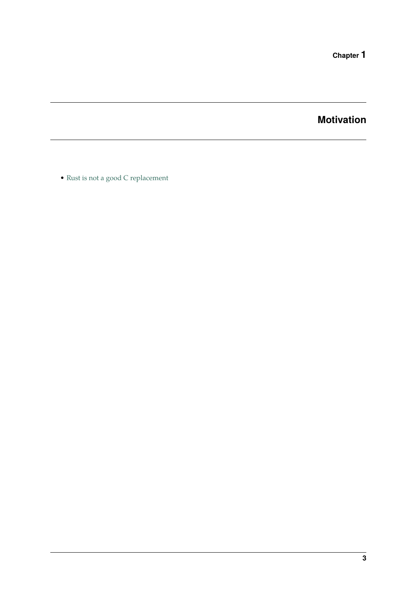**Chapter 1**

**Motivation**

<span id="page-6-0"></span>• [Rust is not a good C replacement](https://drewdevault.com/2019/03/25/Rust-is-not-a-good-C-replacement.html)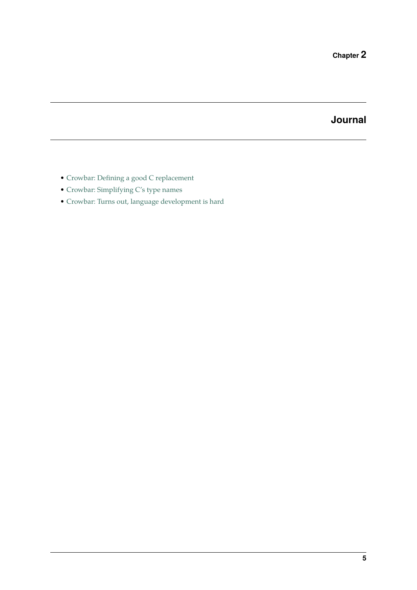# **Journal**

- <span id="page-8-0"></span>• [Crowbar: Defining a good C replacement](https://www.boringcactus.com/2020/09/28/crowbar-1-defining-a-c-replacement.html)
- [Crowbar: Simplifying C's type names](https://www.boringcactus.com/2020/10/13/crowbar-2-simplifying-c-type-names.html)
- [Crowbar: Turns out, language development is hard](https://www.boringcactus.com/2020/10/19/crowbar-3-this-is-tough.html)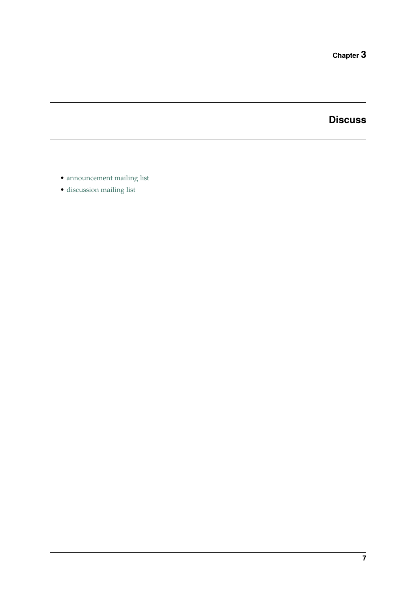**Chapter 3**

**Discuss**

- <span id="page-10-0"></span>• [announcement mailing list](https://lists.sr.ht/~boringcactus/crowbar-lang-announce)
- [discussion mailing list](https://lists.sr.ht/~boringcactus/crowbar-lang-devel)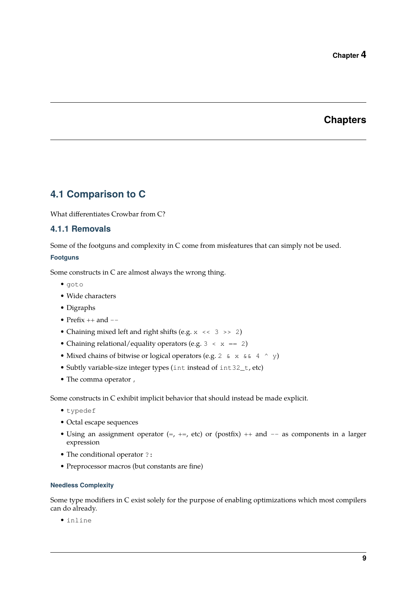# **Chapters**

### <span id="page-12-1"></span><span id="page-12-0"></span>**4.1 Comparison to C**

What differentiates Crowbar from C?

#### **4.1.1 Removals**

Some of the footguns and complexity in C come from misfeatures that can simply not be used.

#### **Footguns**

Some constructs in C are almost always the wrong thing.

- goto
- Wide characters
- Digraphs
- Prefix  $++$  and  $--$
- Chaining mixed left and right shifts (e.g.  $x \leq 3 \gg 2$ )
- Chaining relational/equality operators (e.g.  $3 \le x == 2$ )
- Mixed chains of bitwise or logical operators (e.g. 2 & x & 4 ^ y)
- Subtly variable-size integer types (int instead of int32\_t, etc)
- The comma operator ,

Some constructs in C exhibit implicit behavior that should instead be made explicit.

- typedef
- Octal escape sequences
- Using an assignment operator  $(=, +=,$  etc) or (postfix)  $++$  and  $--$  as components in a larger expression
- The conditional operator ?:
- Preprocessor macros (but constants are fine)

#### **Needless Complexity**

Some type modifiers in C exist solely for the purpose of enabling optimizations which most compilers can do already.

• inline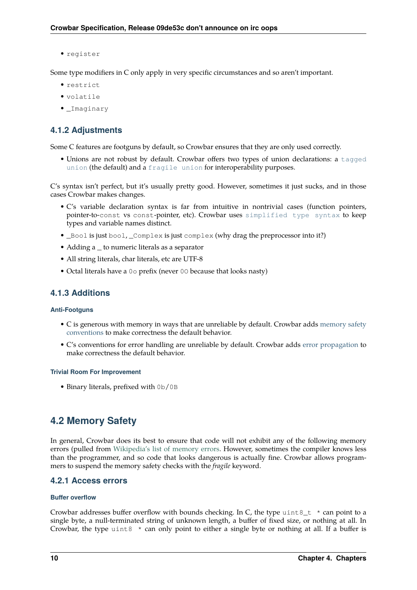• register

Some type modifiers in C only apply in very specific circumstances and so aren't important.

- restrict
- volatile
- \_Imaginary

### **4.1.2 Adjustments**

Some C features are footguns by default, so Crowbar ensures that they are only used correctly.

• Unions are not robust by default. Crowbar offers two types of union declarations: a [tagged](#page-18-0) [union](#page-18-0) (the default) and a [fragile union](#page-19-0) for interoperability purposes.

C's syntax isn't perfect, but it's usually pretty good. However, sometimes it just sucks, and in those cases Crowbar makes changes.

- C's variable declaration syntax is far from intuitive in nontrivial cases (function pointers, pointer-to-const vs const-pointer, etc). Crowbar uses [simplified type syntax](#page-23-0) to keep types and variable names distinct.
- Bool is just bool,  $Complex$  is just complex (why drag the preprocessor into it?)
- Adding a  $\equiv$  to numeric literals as a separator
- All string literals, char literals, etc are UTF-8
- Octal literals have a 0o prefix (never 0O because that looks nasty)

#### **4.1.3 Additions**

#### **Anti-Footguns**

- C is generous with memory in ways that are unreliable by default. Crowbar adds [memory safety](#page-13-1) [conventions](#page-13-1) to make correctness the default behavior.
- C's conventions for error handling are unreliable by default. Crowbar adds [error propagation](#page-15-2) to make correctness the default behavior.

#### **Trivial Room For Improvement**

<span id="page-13-1"></span>• Binary literals, prefixed with 0b/0B

### <span id="page-13-0"></span>**4.2 Memory Safety**

In general, Crowbar does its best to ensure that code will not exhibit any of the following memory errors (pulled from [Wikipedia's list of memory errors](https://en.wikipedia.org/wiki/Memory_safety#Types_of_memory_errors). However, sometimes the compiler knows less than the programmer, and so code that looks dangerous is actually fine. Crowbar allows programmers to suspend the memory safety checks with the *fragile* keyword.

#### **4.2.1 Access errors**

#### **Buffer overflow**

Crowbar addresses buffer overflow with bounds checking. In C, the type uint  $8\nt *$  can point to a single byte, a null-terminated string of unknown length, a buffer of fixed size, or nothing at all. In Crowbar, the type uint  $8 *$  can only point to either a single byte or nothing at all. If a buffer is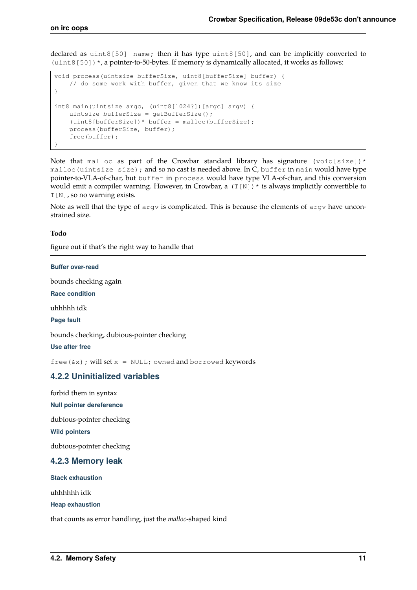declared as uint8[50] name; then it has type uint8[50], and can be implicitly converted to  $(uint8[50])$ \*, a pointer-to-50-bytes. If memory is dynamically allocated, it works as follows:

```
void process(uintsize bufferSize, uint8[bufferSize] buffer) {
    // do some work with buffer, given that we know its size
}
int8 main(uintsize argc, (uint8[1024?])[argc] argv) {
 uintsize bufferSize = getBufferSize();
 (uint8[bufferSize])* buffer = malloc(bufferSize);
    process(bufferSize, buffer);
     free(buffer);
}
```
Note that malloc as part of the Crowbar standard library has signature (void[size])\* malloc(uintsize size); and so no cast is needed above. In C, buffer in main would have type pointer-to-VLA-of-char, but buffer in process would have type VLA-of-char, and this conversion would emit a compiler warning. However, in Crowbar, a  $(T[N])^*$  is always implicitly convertible to T[N], so no warning exists.

Note as well that the type of argv is complicated. This is because the elements of argv have unconstrained size.

#### <span id="page-14-0"></span>**Todo**

figure out if that's the right way to handle that

**Buffer over-read**

bounds checking again

**Race condition**

uhhhhh idk

**Page fault**

bounds checking, dubious-pointer checking

**Use after free**

free( $(xx)$ ; will set  $x = NULL$ ; owned and borrowed keywords

#### **4.2.2 Uninitialized variables**

forbid them in syntax

**Null pointer dereference**

dubious-pointer checking

**Wild pointers**

dubious-pointer checking

#### **4.2.3 Memory leak**

**Stack exhaustion**

uhhhhhh idk

**Heap exhaustion**

that counts as error handling, just the *malloc*-shaped kind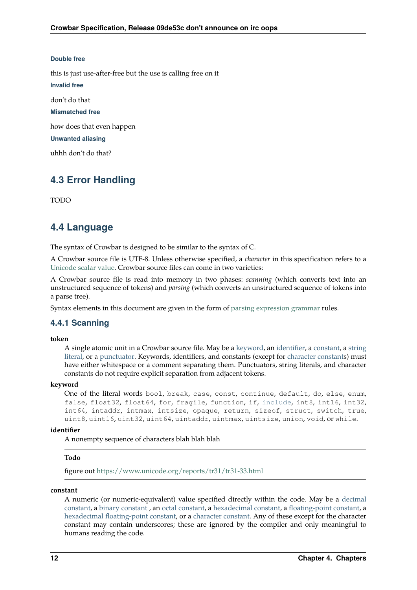#### **Double free**

this is just use-after-free but the use is calling free on it

**Invalid free**

don't do that

**Mismatched free**

how does that even happen

**Unwanted aliasing**

<span id="page-15-2"></span>uhhh don't do that?

### <span id="page-15-0"></span>**4.3 Error Handling**

TODO

### <span id="page-15-1"></span>**4.4 Language**

The syntax of Crowbar is designed to be similar to the syntax of C.

A Crowbar source file is UTF-8. Unless otherwise specified, a *character* in this specification refers to a [Unicode scalar value.](https://www.unicode.org/glossary/#unicode_scalar_value) Crowbar source files can come in two varieties:

A Crowbar source file is read into memory in two phases: *scanning* (which converts text into an unstructured sequence of tokens) and *parsing* (which converts an unstructured sequence of tokens into a parse tree).

Syntax elements in this document are given in the form of [parsing expression grammar](https://en.wikipedia.org/wiki/Parsing_expression_grammar) rules.

#### **4.4.1 Scanning**

#### <span id="page-15-10"></span>**token**

A single atomic unit in a Crowbar source file. May be a [keyword](#page-15-3), an [identifier](#page-15-4), a [constant](#page-15-5), a [string](#page-16-0) [literal,](#page-16-0) or a [punctuator.](#page-17-0) Keywords, identifiers, and constants (except for [character constants](#page-16-1)) must have either whitespace or a comment separating them. Punctuators, string literals, and character constants do not require explicit separation from adjacent tokens.

#### <span id="page-15-9"></span><span id="page-15-3"></span>**keyword**

```
One of the literal words bool, break, case, const, continue, default, do, else, enum,
include, int8, int16, int32,
int64, intaddr, intmax, intsize, opaque, return, sizeof, struct, switch, true,
uint8, uint16, uint32, uint64, uintaddr, uintmax, uintsize, union, void, or while.
```
#### <span id="page-15-8"></span><span id="page-15-4"></span>**identifier**

A nonempty sequence of characters blah blah blah

#### <span id="page-15-6"></span>**Todo**

figure out<https://www.unicode.org/reports/tr31/tr31-33.html>

#### <span id="page-15-7"></span><span id="page-15-5"></span>**constant**

A numeric (or numeric-equivalent) value specified directly within the code. May be a [decimal](#page-16-2) [constant](#page-16-2), a [binary constant](#page-16-3), an [octal constant](#page-16-4), a [hexadecimal constant](#page-16-5), a [floating-point constant](#page-16-6), a [hexadecimal floating-point constant](#page-16-7), or a [character constant](#page-16-1). Any of these except for the character constant may contain underscores; these are ignored by the compiler and only meaningful to humans reading the code.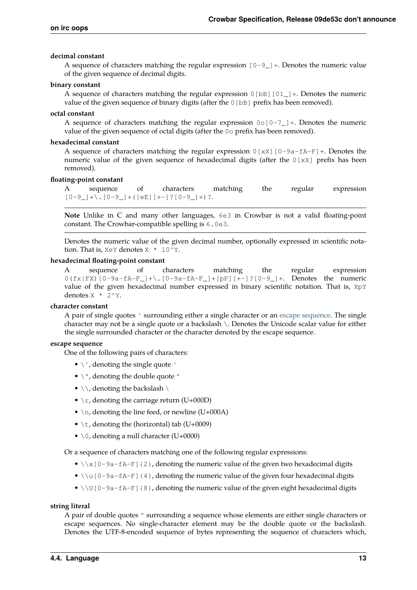#### <span id="page-16-2"></span>**decimal constant**

A sequence of characters matching the regular expression  $[0-9]$  +. Denotes the numeric value of the given sequence of decimal digits.

#### <span id="page-16-9"></span><span id="page-16-3"></span>**binary constant**

A sequence of characters matching the regular expression  $0$  [bB] [01 ] +. Denotes the numeric value of the given sequence of binary digits (after the 0 [bB] prefix has been removed).

#### <span id="page-16-15"></span><span id="page-16-4"></span>**octal constant**

A sequence of characters matching the regular expression  $0 \circ [0-7] +$ . Denotes the numeric value of the given sequence of octal digits (after the 0o prefix has been removed).

#### <span id="page-16-13"></span><span id="page-16-5"></span>**hexadecimal constant**

A sequence of characters matching the regular expression  $0$  [xX] [0-9a-fA-F]+. Denotes the numeric value of the given sequence of hexadecimal digits (after the 0[xX] prefix has been removed).

#### <span id="page-16-12"></span><span id="page-16-6"></span>**floating-point constant**

A sequence of characters matching the regular expression  $[0-9$ ] + \.  $[0-9]$  + ([eE][+-]?[0-9] +)?.

**Note** Unlike in C and many other languages, 6e3 in Crowbar is not a valid floating-point constant. The Crowbar-compatible spelling is 6.0e3.

Denotes the numeric value of the given decimal number, optionally expressed in scientific notation. That is,  $X \in Y$  denotes  $X \times 10^Y$ .

#### <span id="page-16-14"></span><span id="page-16-7"></span>**hexadecimal floating-point constant**

A sequence of characters matching the regular expression  $0(fx|FX)$  [0-9a-fA-F\_]+\. [0-9a-fA-F\_]+[pP][+-]?[0-9\_]+. Denotes the numeric value of the given hexadecimal number expressed in binary scientific notation. That is, XpY denotes  $X * 2^y$ .

#### <span id="page-16-10"></span><span id="page-16-1"></span>**character constant**

A pair of single quotes ' surrounding either a single character or an [escape sequence.](#page-16-8) The single character may not be a single quote or a backslash \. Denotes the Unicode scalar value for either the single surrounded character or the character denoted by the escape sequence.

#### <span id="page-16-11"></span><span id="page-16-8"></span>**escape sequence**

One of the following pairs of characters:

- $\bullet \backslash \prime$ , denoting the single quote  $\prime$
- $\bullet \setminus$ ", denoting the double quote "
- $\setminus \setminus$ , denoting the backslash  $\setminus$
- $\rm\langle r,$  denoting the carriage return (U+000D)
- $\n\times$  h, denoting the line feed, or newline (U+000A)
- \t, denoting the (horizontal) tab (U+0009)
- $\setminus$  0, denoting a null character (U+0000)

Or a sequence of characters matching one of the following regular expressions:

- $\x \x \$  [0-9a-fA-F] {2}, denoting the numeric value of the given two hexadecimal digits
- $\u[0-9a-fA-F]$  {4}, denoting the numeric value of the given four hexadecimal digits
- $\Upsilon$   $\Upsilon$   $[0-9a-fA-F]$  {8}, denoting the numeric value of the given eight hexadecimal digits

#### <span id="page-16-16"></span><span id="page-16-0"></span>**string literal**

A pair of double quotes " surrounding a sequence whose elements are either single characters or escape sequences. No single-character element may be the double quote or the backslash. Denotes the UTF-8-encoded sequence of bytes representing the sequence of characters which,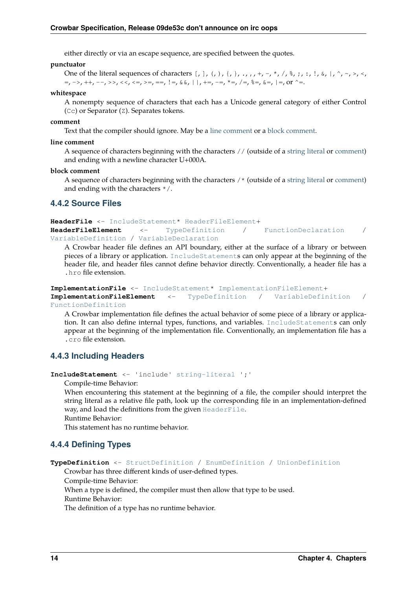either directly or via an escape sequence, are specified between the quotes.

#### <span id="page-17-12"></span><span id="page-17-0"></span>**punctuator**

```
One of the literal sequences of characters [, ], (, ), {, }, ., ,, +, -, *, /, %, ;, :, !, &, |, ^, ~, >, <,
=, ->, ++, --, >>, \lt\lt, \lt;=, \gt=, ==, !=, \& , | , +=, -=, *=, /=, \& =, \& , |_{-}
```
#### <span id="page-17-13"></span>**whitespace**

A nonempty sequence of characters that each has a Unicode general category of either Control (Cc) or Separator (Z). Separates tokens.

#### <span id="page-17-10"></span><span id="page-17-4"></span>**comment**

Text that the compiler should ignore. May be a [line comment](#page-17-2) or a [block comment](#page-17-3).

#### <span id="page-17-11"></span><span id="page-17-2"></span>**line comment**

A sequence of characters beginning with the characters // (outside of a [string literal](#page-16-0) or [comment\)](#page-17-4) and ending with a newline character U+000A.

#### <span id="page-17-9"></span><span id="page-17-3"></span>**block comment**

A sequence of characters beginning with the characters /\* (outside of a [string literal](#page-16-0) or [comment\)](#page-17-4) and ending with the characters \*/.

#### **4.4.2 Source Files**

<span id="page-17-8"></span><span id="page-17-5"></span>**HeaderFile** <- [IncludeStatement](#page-17-1)\* [HeaderFileElement](#page-17-5)+ **HeaderFileElement** <- [TypeDefinition](#page-17-6) / [FunctionDeclaration](#page-19-1) / [VariableDefinition](#page-20-0) / [VariableDeclaration](#page-20-1)

A Crowbar header file defines an API boundary, either at the surface of a library or between pieces of a library or application. [IncludeStatement](#page-17-1)s can only appear at the beginning of the header file, and header files cannot define behavior directly. Conventionally, a header file has a .hro file extension.

```
ImplementationFile <- IncludeStatement* ImplementationFileElement+
ImplementationFileElement <- TypeDefinition / VariableDefinition /
FunctionDefinition
```
A Crowbar implementation file defines the actual behavior of some piece of a library or application. It can also define internal types, functions, and variables. [IncludeStatement](#page-17-1)s can only appear at the beginning of the implementation file. Conventionally, an implementation file has a .cro file extension.

#### **4.4.3 Including Headers**

<span id="page-17-1"></span>**IncludeStatement** <- 'include' [string-literal](#page-16-0) ';'

Compile-time Behavior:

When encountering this statement at the beginning of a file, the compiler should interpret the string literal as a relative file path, look up the corresponding file in an implementation-defined way, and load the definitions from the given [HeaderFile](#page-17-8).

Runtime Behavior:

This statement has no runtime behavior.

#### **4.4.4 Defining Types**

```
TypeDefinition <- StructDefinition / EnumDefinition / UnionDefinition
```
Crowbar has three different kinds of user-defined types.

Compile-time Behavior:

When a type is defined, the compiler must then allow that type to be used.

Runtime Behavior:

The definition of a type has no runtime behavior.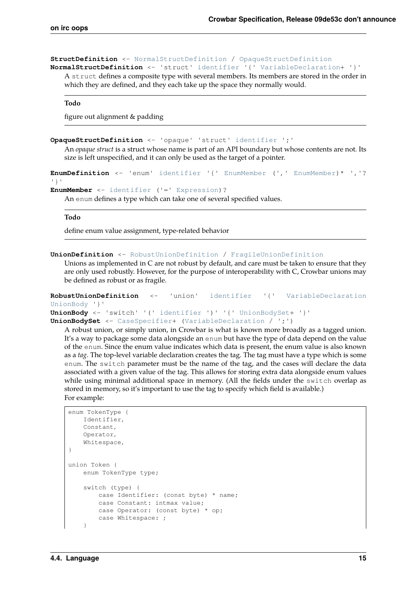#### <span id="page-18-4"></span><span id="page-18-1"></span>**StructDefinition** <- [NormalStructDefinition](#page-18-4) / [OpaqueStructDefinition](#page-18-5) **NormalStructDefinition** <- 'struct' [identifier](#page-15-4) '{' [VariableDeclaration](#page-20-1)+ '}'

A struct defines a composite type with several members. Its members are stored in the order in which they are defined, and they each take up the space they normally would.

#### <span id="page-18-9"></span>**Todo**

figure out alignment & padding

```
OpaqueStructDefinition <- 'opaque' 'struct' identifier ';'
```
An *opaque struct* is a struct whose name is part of an API boundary but whose contents are not. Its size is left unspecified, and it can only be used as the target of a pointer.

```
EnumDefinition <- 'enum' identifier '{' EnumMember (',' EnumMember)* ','?
'}'
EnumMember <- identifier ('=' Expression)?
```
An enum defines a type which can take one of several specified values.

#### <span id="page-18-10"></span>**Todo**

define enum value assignment, type-related behavior

```
UnionDefinition <- RobustUnionDefinition / FragileUnionDefinition
```
Unions as implemented in C are not robust by default, and care must be taken to ensure that they are only used robustly. However, for the purpose of interoperability with C, Crowbar unions may be defined as robust or as fragile.

```
RobustUnionDefinition <- 'union' identifier '{' VariableDeclaration
UnionBody '}'
UnionBody <- 'switch' '(' identifier ')' '{' UnionBodySet+ '}'
UnionBodySet <- CaseSpecifier+ (VariableDeclaration / ';')
```
<span id="page-18-8"></span>A robust union, or simply union, in Crowbar is what is known more broadly as a tagged union. It's a way to package some data alongside an enum but have the type of data depend on the value of the enum. Since the enum value indicates which data is present, the enum value is also known as a *tag*. The top-level variable declaration creates the tag. The tag must have a type which is some enum. The switch parameter must be the name of the tag, and the cases will declare the data associated with a given value of the tag. This allows for storing extra data alongside enum values while using minimal additional space in memory. (All the fields under the switch overlap as stored in memory, so it's important to use the tag to specify which field is available.) For example:

```
enum TokenType {
    Identifier,
    Constant,
     Operator,
     Whitespace,
}
union Token {
    enum TokenType type;
     switch (type) {
         case Identifier: (const byte) * name;
         case Constant: intmax value;
         case Operator: (const byte) * op;
         case Whitespace: ;
     }
```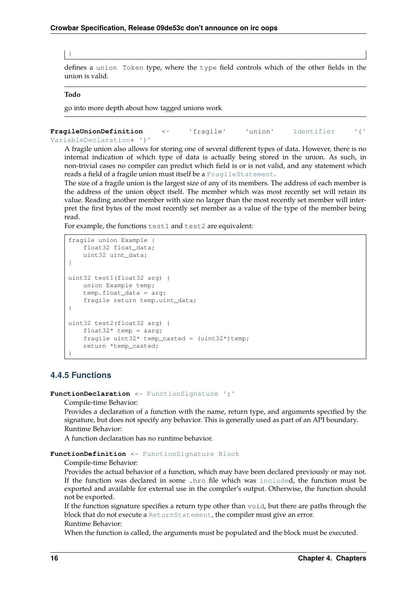#### $\vert \ \}$

defines a union Token type, where the type field controls which of the other fields in the union is valid.

#### <span id="page-19-3"></span>**Todo**

go into more depth about how tagged unions work

```
FragileUnionDefinition <- 'fragile' 'union' identifier '{'
VariableDeclaration+ '}'
```
A fragile union also allows for storing one of several different types of data. However, there is no internal indication of which type of data is actually being stored in the union. As such, in non-trivial cases no compiler can predict which field is or is not valid, and any statement which reads a field of a fragile union must itself be a [FragileStatement](#page-20-2).

The size of a fragile union is the largest size of any of its members. The address of each member is the address of the union object itself. The member which was most recently set will retain its value. Reading another member with size no larger than the most recently set member will interpret the first bytes of the most recently set member as a value of the type of the member being read.

For example, the functions test1 and test2 are equivalent:

```
fragile union Example {
     float32 float_data;
     uint32 uint_data;
}
uint32 test1(float32 arg) {
    union Example temp;
     temp.float_data = arg;
     fragile return temp.uint_data;
}
uint32 test2(float32 arg) {
   float32* temp = &arg;fragile uint32* temp_casted = (uint32*)temp;
     return *temp_casted;
}
```
#### **4.4.5 Functions**

<span id="page-19-1"></span>FunctionDeclaration <- [FunctionSignature](#page-20-3) ';'

Compile-time Behavior:

Provides a declaration of a function with the name, return type, and arguments specified by the signature, but does not specify any behavior. This is generally used as part of an API boundary. Runtime Behavior:

A function declaration has no runtime behavior.

#### <span id="page-19-2"></span>**FunctionDefinition** <- [FunctionSignature](#page-20-3) [Block](#page-20-4)

Compile-time Behavior:

Provides the actual behavior of a function, which may have been declared previously or may not. If the function was declared in some .hro file which was [include](#page-17-1)d, the function must be exported and available for external use in the compiler's output. Otherwise, the function should not be exported.

If the function signature specifies a return type other than void, but there are paths through the block that do not execute a [ReturnStatement](#page-22-0), the compiler must give an error. Runtime Behavior:

When the function is called, the arguments must be populated and the block must be executed.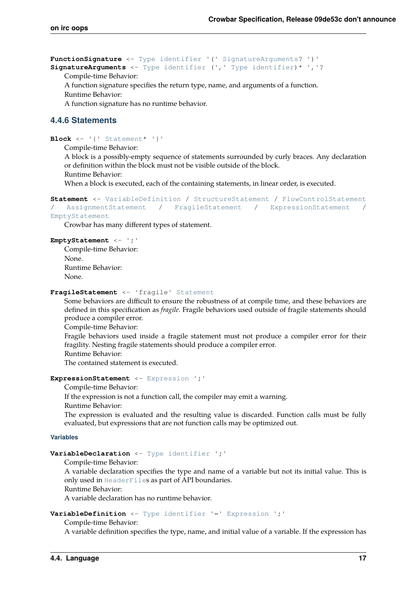<span id="page-20-5"></span><span id="page-20-3"></span>**FunctionSignature** <- [Type](#page-23-0) [identifier](#page-15-4) '(' [SignatureArguments](#page-20-5)? ')' **SignatureArguments** <- [Type](#page-23-0) [identifier](#page-15-4) (',' [Type](#page-23-0) [identifier](#page-15-4))\* ','?

Compile-time Behavior:

A function signature specifies the return type, name, and arguments of a function.

Runtime Behavior:

A function signature has no runtime behavior.

#### **4.4.6 Statements**

```
Block \leftarrowStatement* '}'
```
Compile-time Behavior:

A block is a possibly-empty sequence of statements surrounded by curly braces. Any declaration or definition within the block must not be visible outside of the block.

Runtime Behavior:

When a block is executed, each of the containing statements, in linear order, is executed.

```
Statement <- VariableDefinition / StructureStatement / FlowControlStatement
/ AssignmentStatement / FragileStatement / ExpressionStatement /
EmptyStatement
```
Crowbar has many different types of statement.

#### <span id="page-20-8"></span>**EmptyStatement** <- ';'

Compile-time Behavior: None. Runtime Behavior: None.

#### <span id="page-20-2"></span>**FragileStatement** <- 'fragile' [Statement](#page-20-6)

Some behaviors are difficult to ensure the robustness of at compile time, and these behaviors are defined in this specification as *fragile*. Fragile behaviors used outside of fragile statements should produce a compiler error.

Compile-time Behavior:

Fragile behaviors used inside a fragile statement must not produce a compiler error for their fragility. Nesting fragile statements should produce a compiler error.

Runtime Behavior:

The contained statement is executed.

#### <span id="page-20-7"></span>**ExpressionStatement** <- [Expression](#page-25-1) ';'

Compile-time Behavior:

If the expression is not a function call, the compiler may emit a warning.

Runtime Behavior:

The expression is evaluated and the resulting value is discarded. Function calls must be fully evaluated, but expressions that are not function calls may be optimized out.

#### **Variables**

#### <span id="page-20-1"></span>**VariableDeclaration** <- [Type](#page-23-0) [identifier](#page-15-4) ';'

Compile-time Behavior:

A variable declaration specifies the type and name of a variable but not its initial value. This is only used in [HeaderFile](#page-17-8)s as part of API boundaries.

Runtime Behavior:

A variable declaration has no runtime behavior.

<span id="page-20-0"></span>**VariableDefinition** <- [Type](#page-23-0) [identifier](#page-15-4) '=' [Expression](#page-25-1) ';'

Compile-time Behavior:

A variable definition specifies the type, name, and initial value of a variable. If the expression has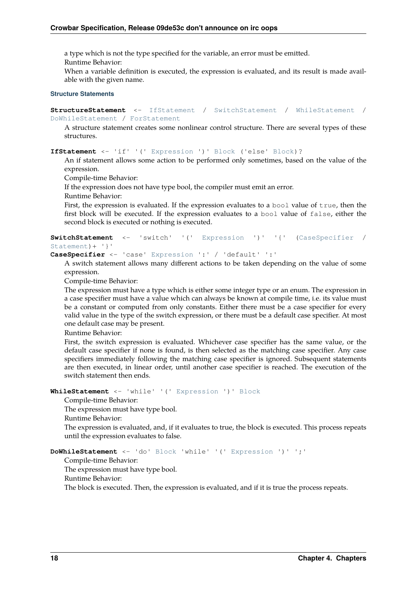a type which is not the type specified for the variable, an error must be emitted.

Runtime Behavior:

When a variable definition is executed, the expression is evaluated, and its result is made available with the given name.

#### **Structure Statements**

```
StructureStatement <- IfStatement / SwitchStatement / WhileStatement /
DoWhileStatement / ForStatement
```
A structure statement creates some nonlinear control structure. There are several types of these structures.

<span id="page-21-2"></span>**IfStatement** <- 'if' '(' [Expression](#page-25-1) ')' [Block](#page-20-4) ('else' [Block](#page-20-4))?

An if statement allows some action to be performed only sometimes, based on the value of the expression.

Compile-time Behavior:

If the expression does not have type bool, the compiler must emit an error.

Runtime Behavior:

First, the expression is evaluated. If the expression evaluates to a bool value of true, then the first block will be executed. If the expression evaluates to a bool value of false, either the second block is executed or nothing is executed.

```
SwitchStatementExpression(CaseSpecifier /
Statement)+ '}'
```
<span id="page-21-0"></span>**CaseSpecifier** <- 'case' [Expression](#page-25-1) ':' / 'default' ':'

A switch statement allows many different actions to be taken depending on the value of some expression.

Compile-time Behavior:

The expression must have a type which is either some integer type or an enum. The expression in a case specifier must have a value which can always be known at compile time, i.e. its value must be a constant or computed from only constants. Either there must be a case specifier for every valid value in the type of the switch expression, or there must be a default case specifier. At most one default case may be present.

Runtime Behavior:

First, the switch expression is evaluated. Whichever case specifier has the same value, or the default case specifier if none is found, is then selected as the matching case specifier. Any case specifiers immediately following the matching case specifier is ignored. Subsequent statements are then executed, in linear order, until another case specifier is reached. The execution of the switch statement then ends.

```
WhileStatement <- 'while' '(' Expression ')' Block
```
Compile-time Behavior:

The expression must have type bool.

Runtime Behavior:

The expression is evaluated, and, if it evaluates to true, the block is executed. This process repeats until the expression evaluates to false.

```
DoWhileStatement <- 'do' Block 'while' '(' Expression ')' ';'
```
Compile-time Behavior:

The expression must have type bool.

Runtime Behavior:

The block is executed. Then, the expression is evaluated, and if it is true the process repeats.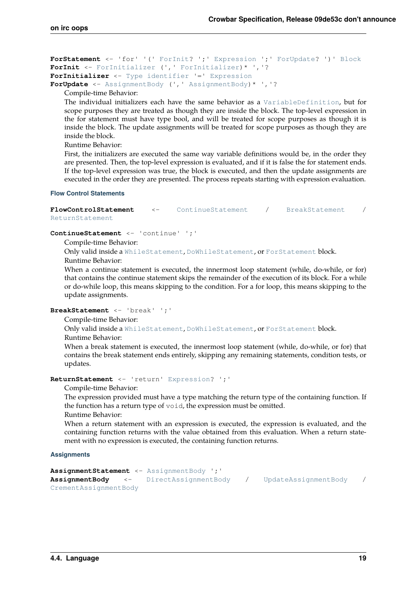```
ForStatement <- 'for' '(' ForInit? ';' Expression ';' ForUpdate? ')' Block
ForInit <- ForInitializer (',' ForInitializer)* ','?
ForInitializer <- Type identifier '=' Expression
ForUpdate <- AssignmentBody (',' AssignmentBody)* ','?
```
<span id="page-22-5"></span>Compile-time Behavior:

The individual initializers each have the same behavior as a [VariableDefinition](#page-20-0), but for scope purposes they are treated as though they are inside the block. The top-level expression in the for statement must have type bool, and will be treated for scope purposes as though it is inside the block. The update assignments will be treated for scope purposes as though they are inside the block.

Runtime Behavior:

First, the initializers are executed the same way variable definitions would be, in the order they are presented. Then, the top-level expression is evaluated, and if it is false the for statement ends. If the top-level expression was true, the block is executed, and then the update assignments are executed in the order they are presented. The process repeats starting with expression evaluation.

#### **Flow Control Statements**

<span id="page-22-1"></span>**FlowControlStatement** <- [ContinueStatement](#page-22-8) / [BreakStatement](#page-22-9) / [ReturnStatement](#page-22-0)

<span id="page-22-8"></span>**ContinueStatement** <- 'continue' ';'

Compile-time Behavior:

Only valid inside a [WhileStatement](#page-21-4), [DoWhileStatement](#page-21-5), or [ForStatement](#page-22-3) block. Runtime Behavior:

When a continue statement is executed, the innermost loop statement (while, do-while, or for) that contains the continue statement skips the remainder of the execution of its block. For a while or do-while loop, this means skipping to the condition. For a for loop, this means skipping to the update assignments.

<span id="page-22-9"></span>**BreakStatement** <- 'break' ';'

Compile-time Behavior:

Only valid inside a [WhileStatement](#page-21-4), [DoWhileStatement](#page-21-5), or [ForStatement](#page-22-3) block.

Runtime Behavior:

When a break statement is executed, the innermost loop statement (while, do-while, or for) that contains the break statement ends entirely, skipping any remaining statements, condition tests, or updates.

<span id="page-22-0"></span>**ReturnStatement** <- 'return' [Expression](#page-25-1)? ';'

Compile-time Behavior:

The expression provided must have a type matching the return type of the containing function. If the function has a return type of void, the expression must be omitted.

Runtime Behavior:

When a return statement with an expression is executed, the expression is evaluated, and the containing function returns with the value obtained from this evaluation. When a return statement with no expression is executed, the containing function returns.

**Assignments**

```
AssignmentStatement <- AssignmentBody ';'
AssignmentBody <- DirectAssignmentBody / UpdateAssignmentBody /
CrementAssignmentBody
```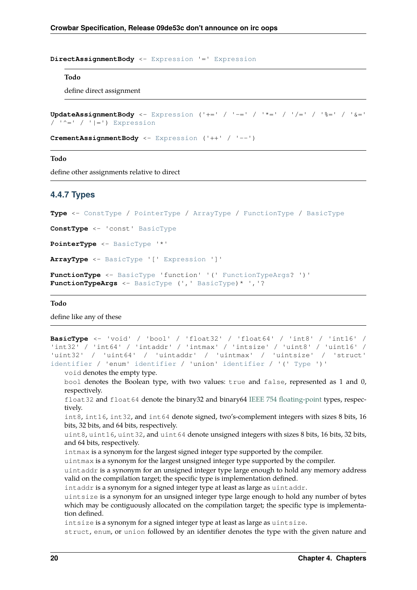<span id="page-23-1"></span>**DirectAssignmentBody** <- [Expression](#page-25-1) '=' [Expression](#page-25-1)

#### <span id="page-23-10"></span>**Todo**

define direct assignment

```
UpdateAssignmentBody <- Expression ('+=' / '-=' / '*=' / '/=' / '%=' / '&='
/ '^=' / '|=') Expression
```
<span id="page-23-3"></span>**CrementAssignmentBody** <- [Expression](#page-25-1) ('++' / '--')

#### <span id="page-23-11"></span>**Todo**

define other assignments relative to direct

#### **4.4.7 Types**

<span id="page-23-0"></span>**Type** <- [ConstType](#page-23-4) / [PointerType](#page-23-5) / [ArrayType](#page-23-6) / [FunctionType](#page-23-7) / [BasicType](#page-23-8)

<span id="page-23-4"></span>**ConstType** <- 'const' [BasicType](#page-23-8)

<span id="page-23-5"></span>**PointerType** <- [BasicType](#page-23-8) '\*'

<span id="page-23-6"></span>**ArrayType** <- [BasicType](#page-23-8) '[' [Expression](#page-25-1) ']'

```
FunctionType <- BasicType 'function' '(' FunctionTypeArgs? ')'
FunctionTypeArgs <- BasicType (',' BasicType)* ','?
```
#### <span id="page-23-12"></span>**Todo**

define like any of these

```
BasicType <- 'void' / 'bool' / 'float32' / 'float64' / 'int8' / 'int16' /
'int32' / 'int64' / 'intaddr' / 'intmax' / 'intsize' / 'uint8' / 'uint16' /
'uint32' / 'uint64' / 'uintaddr' / 'uintmax' / 'uintsize' / 'struct'
identifier / 'enum' identifier / 'union' identifier / '(' Type ')'
```
void denotes the empty type.

bool denotes the Boolean type, with two values: true and false, represented as 1 and 0, respectively.

float32 and float64 denote the binary32 and binary64 [IEEE 754 floating-point](https://en.wikipedia.org/wiki/IEEE_754) types, respectively.

int8, int16, int32, and int64 denote signed, two's-complement integers with sizes 8 bits, 16 bits, 32 bits, and 64 bits, respectively.

uint8, uint16, uint32, and uint64 denote unsigned integers with sizes 8 bits, 16 bits, 32 bits, and 64 bits, respectively.

intmax is a synonym for the largest signed integer type supported by the compiler.

uintmax is a synonym for the largest unsigned integer type supported by the compiler.

uintaddr is a synonym for an unsigned integer type large enough to hold any memory address valid on the compilation target; the specific type is implementation defined.

intaddr is a synonym for a signed integer type at least as large as uintaddr.

uintsize is a synonym for an unsigned integer type large enough to hold any number of bytes which may be contiguously allocated on the compilation target; the specific type is implementation defined.

intsize is a synonym for a signed integer type at least as large as uintsize.

struct, enum, or union followed by an identifier denotes the type with the given nature and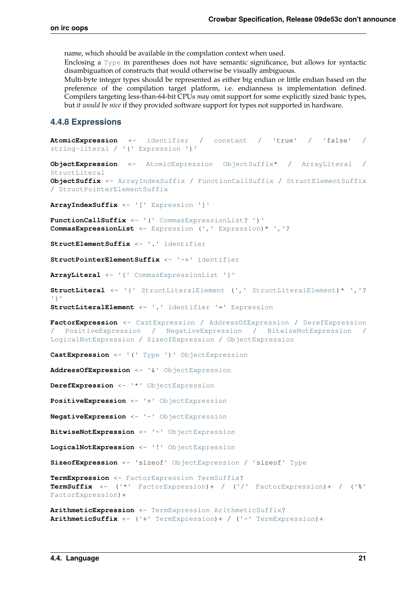name, which should be available in the compilation context when used.

Enclosing a [Type](#page-23-0) in parentheses does not have semantic significance, but allows for syntactic disambiguation of constructs that would otherwise be visually ambiguous.

Multi-byte integer types should be represented as either big endian or little endian based on the preference of the compilation target platform, i.e. endianness is implementation defined. Compilers targeting less-than-64-bit CPUs *may* omit support for some explicitly sized basic types, but *it would be nice* if they provided software support for types not supported in hardware.

#### **4.4.8 Expressions**

```
AtomicExpression <- identifier / constant / 'true' / 'false' /
string-literal / '(' Expression ')'
ObjectExpression <- AtomicExpression ObjectSuffix* / ArrayLiteral /
StructLiteral
ObjectSuffix <- ArrayIndexSuffix / FunctionCallSuffix / StructElementSuffix
/ StructPointerElementSuffix
ArrayIndexSuffix <- '[' Expression ']'
FunctionCallSuffix <- '(' CommasExpressionList? ')'
CommasExpressionList <- Expression (',' Expression)* ','?
StructElementSuffix <- '.' identifier
StructPointerElementSuffix <- '->' identifier
ArrayLiteral <- '{' CommasExpressionList '}'
StructLiteral <- '{' StructLiteralElement (',' StructLiteralElement)* ','?
'}'
StructLiteralElement <- '.' identifier '=' Expression
FactorExpression <- CastExpression / AddressOfExpression / DerefExpression
/ PositiveExpression / NegativeExpression / BitwiseNotExpression /
LogicalNotExpression / SizeofExpression / ObjectExpression
CastExpression <- '(' Type ')' ObjectExpression
AddressOfExpression <- '&' ObjectExpression
DerefExpression <- '*' ObjectExpression
PositiveExpression <- '+' ObjectExpression
NegativeExpression <- '-' ObjectExpression
BitwiseNotExpression <- '~' ObjectExpression
LogicalNotExpression <- '!' ObjectExpression
SizeofExpression <- 'sizeof' ObjectExpression / 'sizeof' Type
TermExpression <- FactorExpression TermSuffix?
TermSuffix <- ('*' FactorExpression)+ / ('/' FactorExpression)+ / ('%'
FactorExpression)+
ArithmeticExpression <- TermExpression ArithmeticSuffix?
ArithmeticSuffix <- ('+' TermExpression)+ / ('-' TermExpression)+
```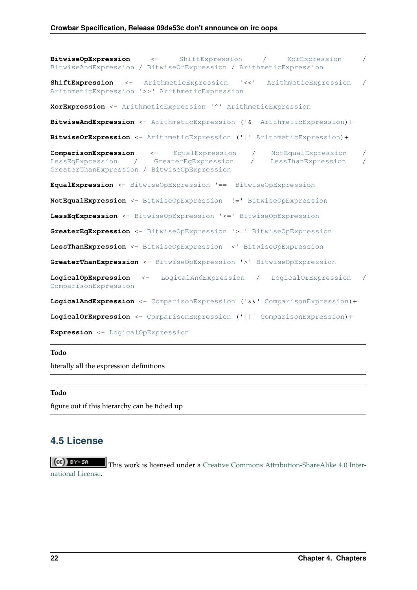<span id="page-25-15"></span><span id="page-25-12"></span><span id="page-25-7"></span><span id="page-25-6"></span><span id="page-25-5"></span><span id="page-25-4"></span><span id="page-25-3"></span><span id="page-25-2"></span>**BitwiseOpExpression** <- [ShiftExpression](#page-25-2) / [XorExpression](#page-25-3) / [BitwiseAndExpression](#page-25-4) / [BitwiseOrExpression](#page-25-5) / [ArithmeticExpression](#page-24-23) **ShiftExpression** <- [ArithmeticExpression](#page-24-23) '<<' [ArithmeticExpression](#page-24-23) / [ArithmeticExpression](#page-24-23) '>>' [ArithmeticExpression](#page-24-23) **XorExpression** <- [ArithmeticExpression](#page-24-23) '^' [ArithmeticExpression](#page-24-23) **BitwiseAndExpression** <- [ArithmeticExpression](#page-24-23) ('&' [ArithmeticExpression](#page-24-23))+ **BitwiseOrExpression** <- [ArithmeticExpression](#page-24-23) ('|' [ArithmeticExpression](#page-24-23))+ **ComparisonExpression** <- [EqualExpression](#page-25-6) / [NotEqualExpression](#page-25-7) / [LessEqExpression](#page-25-8) / [GreaterEqExpression](#page-25-9) / [LessThanExpression](#page-25-10) / [GreaterThanExpression](#page-25-11) / [BitwiseOpExpression](#page-25-12) **EqualExpression** <- [BitwiseOpExpression](#page-25-12) '==' [BitwiseOpExpression](#page-25-12) **NotEqualExpression** <- [BitwiseOpExpression](#page-25-12) '!=' [BitwiseOpExpression](#page-25-12) **LessEqExpression** <- [BitwiseOpExpression](#page-25-12) '<=' [BitwiseOpExpression](#page-25-12) **GreaterEqExpression** <- [BitwiseOpExpression](#page-25-12) '>=' [BitwiseOpExpression](#page-25-12) **LessThanExpression** <- [BitwiseOpExpression](#page-25-12) '<' [BitwiseOpExpression](#page-25-12) **GreaterThanExpression** <- [BitwiseOpExpression](#page-25-12) '>' [BitwiseOpExpression](#page-25-12) **LogicalOpExpression** <- [LogicalAndExpression](#page-25-13) / [LogicalOrExpression](#page-25-14) / [ComparisonExpression](#page-25-15) **LogicalAndExpression** <- [ComparisonExpression](#page-25-15) ('&&' [ComparisonExpression](#page-25-15))+ **LogicalOrExpression** <- [ComparisonExpression](#page-25-15) ('||' [ComparisonExpression](#page-25-15))+ **Expression** <- [LogicalOpExpression](#page-25-16)

#### <span id="page-25-17"></span><span id="page-25-16"></span><span id="page-25-14"></span><span id="page-25-13"></span><span id="page-25-11"></span><span id="page-25-10"></span><span id="page-25-9"></span><span id="page-25-8"></span><span id="page-25-1"></span>**Todo**

literally all the expression definitions

<span id="page-25-18"></span>**Todo**

figure out if this hierarchy can be tidied up

### <span id="page-25-0"></span>**4.5 License**

l (cell Bress). This work is licensed under a [Creative Commons Attribution-ShareAlike 4.0 Inter](http://creativecommons.org/licenses/by-sa/4.0/)[national License.](http://creativecommons.org/licenses/by-sa/4.0/)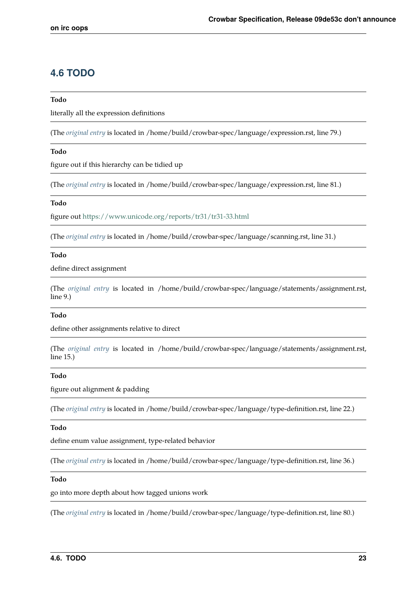# <span id="page-26-0"></span>**4.6 TODO**

#### **Todo**

literally all the expression definitions

(The *[original entry](#page-25-17)* is located in /home/build/crowbar-spec/language/expression.rst, line 79.)

#### **Todo**

figure out if this hierarchy can be tidied up

(The *[original entry](#page-25-18)* is located in /home/build/crowbar-spec/language/expression.rst, line 81.)

#### **Todo**

figure out<https://www.unicode.org/reports/tr31/tr31-33.html>

(The *[original entry](#page-15-6)* is located in /home/build/crowbar-spec/language/scanning.rst, line 31.)

#### **Todo**

define direct assignment

(The *[original entry](#page-23-10)* is located in /home/build/crowbar-spec/language/statements/assignment.rst, line 9.)

#### **Todo**

define other assignments relative to direct

(The *[original entry](#page-23-11)* is located in /home/build/crowbar-spec/language/statements/assignment.rst, line 15.)

#### **Todo**

figure out alignment & padding

(The *[original entry](#page-18-9)* is located in /home/build/crowbar-spec/language/type-definition.rst, line 22.)

#### **Todo**

define enum value assignment, type-related behavior

(The *[original entry](#page-18-10)* is located in /home/build/crowbar-spec/language/type-definition.rst, line 36.)

#### **Todo**

go into more depth about how tagged unions work

(The *[original entry](#page-19-3)* is located in /home/build/crowbar-spec/language/type-definition.rst, line 80.)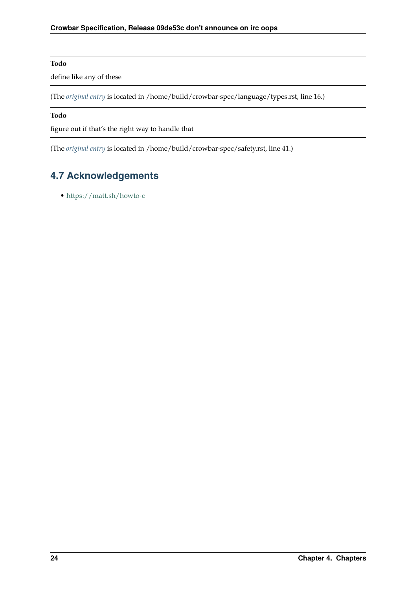#### **Todo**

define like any of these

(The *[original entry](#page-23-12)* is located in /home/build/crowbar-spec/language/types.rst, line 16.)

#### **Todo**

figure out if that's the right way to handle that

(The *[original entry](#page-14-0)* is located in /home/build/crowbar-spec/safety.rst, line 41.)

# <span id="page-27-0"></span>**4.7 Acknowledgements**

• <https://matt.sh/howto-c>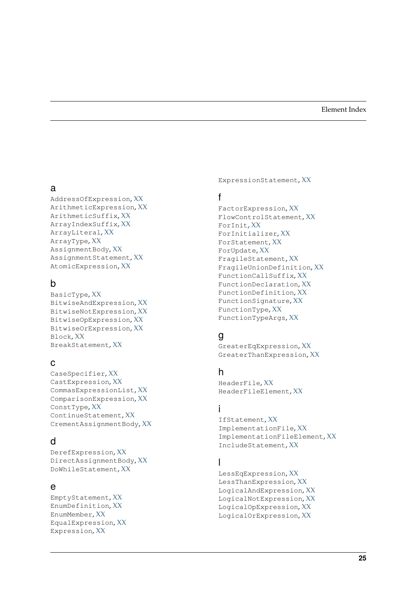### <span id="page-28-0"></span>a

AddressOfExpression, XX ArithmeticExpression, XX ArithmeticSuffix, XX ArrayIndexSuffix, XX ArrayLiteral, XX ArrayType, XX AssignmentBody, XX AssignmentStatement, XX AtomicExpression, XX

# b

BasicType, XX BitwiseAndExpression, XX BitwiseNotExpression, XX BitwiseOpExpression, XX BitwiseOrExpression, XX Block, XX BreakStatement, XX

### c

CaseSpecifier, XX CastExpression, XX CommasExpressionList, XX ComparisonExpression, XX ConstType, XX ContinueStatement, XX CrementAssignmentBody, XX

# d

DerefExpression, XX DirectAssignmentBody, XX DoWhileStatement, XX

### e

EmptyStatement, XX EnumDefinition, XX EnumMember, XX EqualExpression, XX Expression, XX

ExpressionStatement, XX

### f

FactorExpression, XX FlowControlStatement, XX ForInit, XX ForInitializer, XX ForStatement, XX ForUpdate, XX FragileStatement, XX FragileUnionDefinition, XX FunctionCallSuffix, XX FunctionDeclaration, XX FunctionDefinition, XX FunctionSignature, XX FunctionType, XX FunctionTypeArgs, XX

# g

GreaterEqExpression, XX GreaterThanExpression, XX

### h

HeaderFile, XX HeaderFileElement, XX

### i

IfStatement, XX ImplementationFile, XX ImplementationFileElement, XX IncludeStatement, XX

### l

LessEqExpression, XX LessThanExpression, XX LogicalAndExpression, XX LogicalNotExpression, XX LogicalOpExpression, XX LogicalOrExpression, XX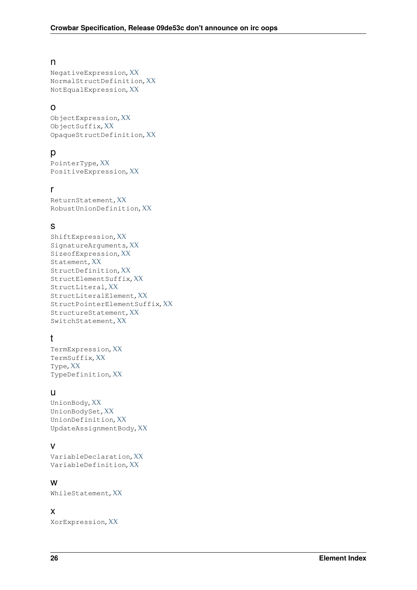### n

NegativeExpression, XX NormalStructDefinition, XX NotEqualExpression, XX

### o

ObjectExpression, XX ObjectSuffix, XX OpaqueStructDefinition, XX

### p

PointerType, XX PositiveExpression, XX

### r

ReturnStatement, XX RobustUnionDefinition, XX

### s

```
ShiftExpression, XX
SignatureArguments, XX
SizeofExpression, XX
Statement, XX
StructDefinition, XX
StructElementSuffix, XX
StructLiteral, XX
StructLiteralElement, XX
StructPointerElementSuffix, XX
StructureStatement, XX
SwitchStatement, XX
```
### t

TermExpression, XX TermSuffix, XX Type, XX TypeDefinition, XX

### u

UnionBody, XX UnionBodySet, XX UnionDefinition, XX UpdateAssignmentBody, XX

### v

VariableDeclaration, XX VariableDefinition, XX

### w

WhileStatement, XX

### x

XorExpression, XX